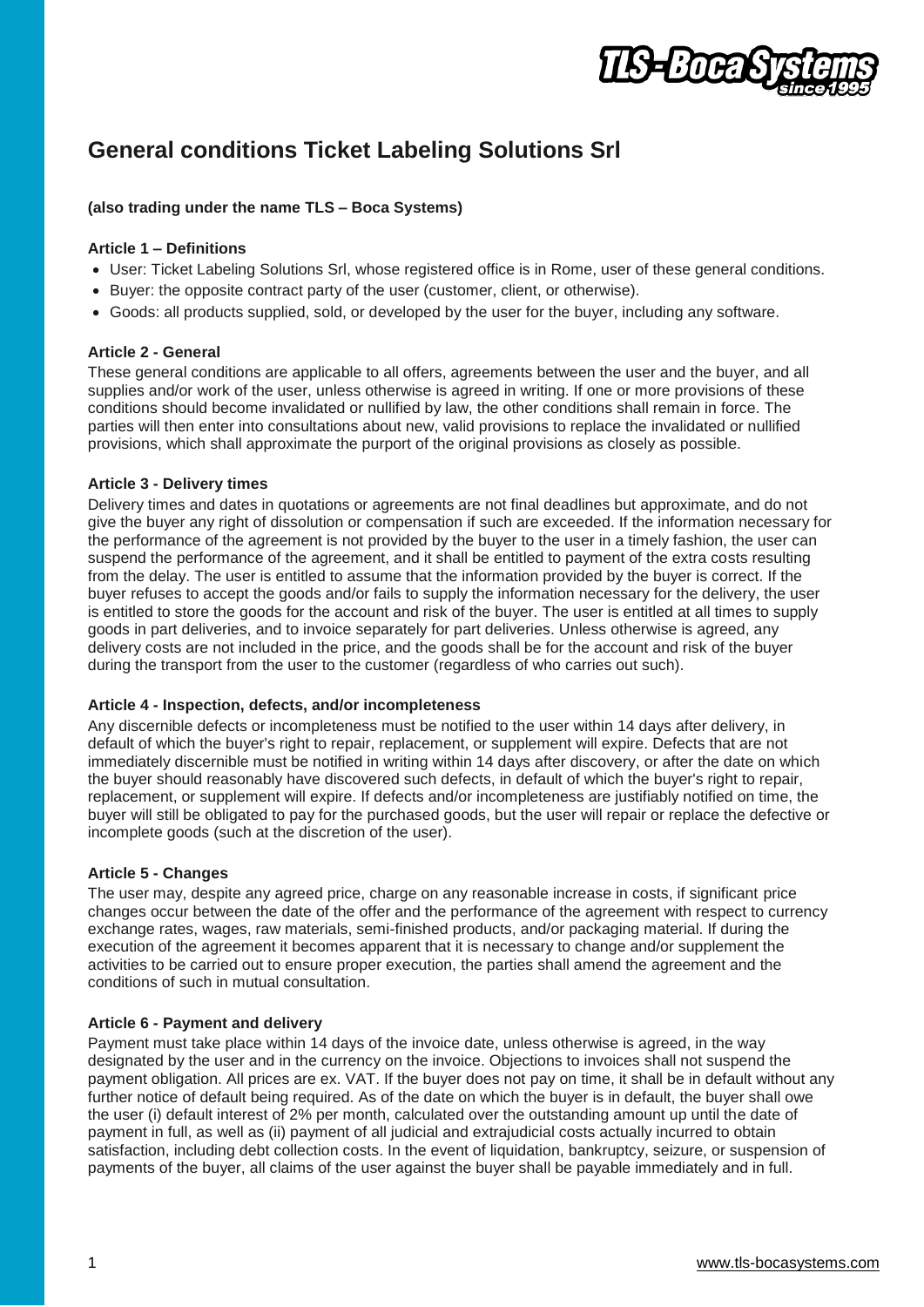

# **General conditions Ticket Labeling Solutions Srl**

## **(also trading under the name TLS – Boca Systems)**

## **Article 1 – Definitions**

- User: Ticket Labeling Solutions Srl, whose registered office is in Rome, user of these general conditions.
- Buyer: the opposite contract party of the user (customer, client, or otherwise).
- Goods: all products supplied, sold, or developed by the user for the buyer, including any software.

# **Article 2 - General**

These general conditions are applicable to all offers, agreements between the user and the buyer, and all supplies and/or work of the user, unless otherwise is agreed in writing. If one or more provisions of these conditions should become invalidated or nullified by law, the other conditions shall remain in force. The parties will then enter into consultations about new, valid provisions to replace the invalidated or nullified provisions, which shall approximate the purport of the original provisions as closely as possible.

## **Article 3 - Delivery times**

Delivery times and dates in quotations or agreements are not final deadlines but approximate, and do not give the buyer any right of dissolution or compensation if such are exceeded. If the information necessary for the performance of the agreement is not provided by the buyer to the user in a timely fashion, the user can suspend the performance of the agreement, and it shall be entitled to payment of the extra costs resulting from the delay. The user is entitled to assume that the information provided by the buyer is correct. If the buyer refuses to accept the goods and/or fails to supply the information necessary for the delivery, the user is entitled to store the goods for the account and risk of the buyer. The user is entitled at all times to supply goods in part deliveries, and to invoice separately for part deliveries. Unless otherwise is agreed, any delivery costs are not included in the price, and the goods shall be for the account and risk of the buyer during the transport from the user to the customer (regardless of who carries out such).

## **Article 4 - Inspection, defects, and/or incompleteness**

Any discernible defects or incompleteness must be notified to the user within 14 days after delivery, in default of which the buyer's right to repair, replacement, or supplement will expire. Defects that are not immediately discernible must be notified in writing within 14 days after discovery, or after the date on which the buyer should reasonably have discovered such defects, in default of which the buyer's right to repair, replacement, or supplement will expire. If defects and/or incompleteness are justifiably notified on time, the buyer will still be obligated to pay for the purchased goods, but the user will repair or replace the defective or incomplete goods (such at the discretion of the user).

## **Article 5 - Changes**

The user may, despite any agreed price, charge on any reasonable increase in costs, if significant price changes occur between the date of the offer and the performance of the agreement with respect to currency exchange rates, wages, raw materials, semi-finished products, and/or packaging material. If during the execution of the agreement it becomes apparent that it is necessary to change and/or supplement the activities to be carried out to ensure proper execution, the parties shall amend the agreement and the conditions of such in mutual consultation.

## **Article 6 - Payment and delivery**

Payment must take place within 14 days of the invoice date, unless otherwise is agreed, in the way designated by the user and in the currency on the invoice. Objections to invoices shall not suspend the payment obligation. All prices are ex. VAT. If the buyer does not pay on time, it shall be in default without any further notice of default being required. As of the date on which the buyer is in default, the buyer shall owe the user (i) default interest of 2% per month, calculated over the outstanding amount up until the date of payment in full, as well as (ii) payment of all judicial and extrajudicial costs actually incurred to obtain satisfaction, including debt collection costs. In the event of liquidation, bankruptcy, seizure, or suspension of payments of the buyer, all claims of the user against the buyer shall be payable immediately and in full.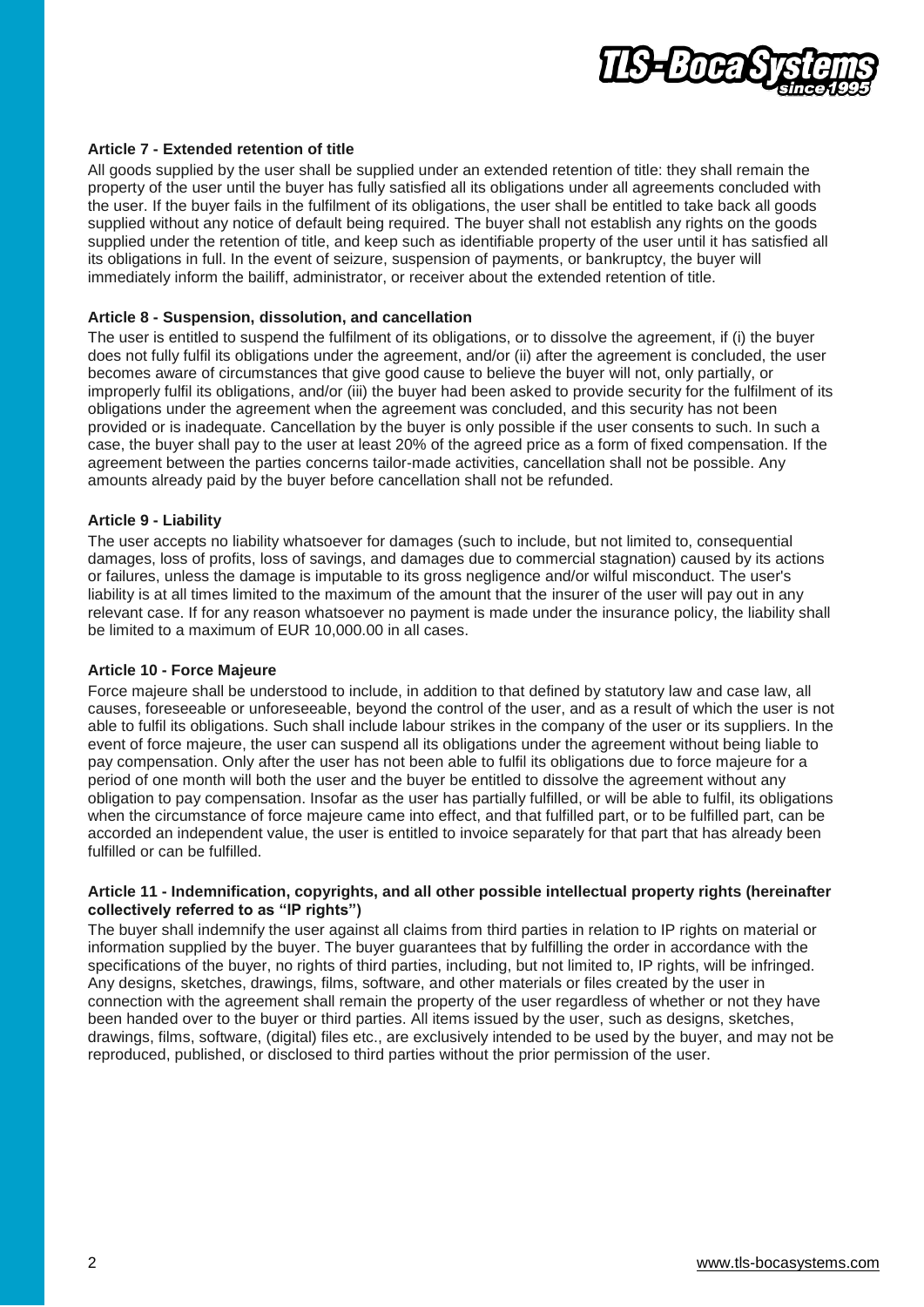

## **Article 7 - Extended retention of title**

All goods supplied by the user shall be supplied under an extended retention of title: they shall remain the property of the user until the buyer has fully satisfied all its obligations under all agreements concluded with the user. If the buyer fails in the fulfilment of its obligations, the user shall be entitled to take back all goods supplied without any notice of default being required. The buyer shall not establish any rights on the goods supplied under the retention of title, and keep such as identifiable property of the user until it has satisfied all its obligations in full. In the event of seizure, suspension of payments, or bankruptcy, the buyer will immediately inform the bailiff, administrator, or receiver about the extended retention of title.

#### **Article 8 - Suspension, dissolution, and cancellation**

The user is entitled to suspend the fulfilment of its obligations, or to dissolve the agreement, if (i) the buyer does not fully fulfil its obligations under the agreement, and/or (ii) after the agreement is concluded, the user becomes aware of circumstances that give good cause to believe the buyer will not, only partially, or improperly fulfil its obligations, and/or (iii) the buyer had been asked to provide security for the fulfilment of its obligations under the agreement when the agreement was concluded, and this security has not been provided or is inadequate. Cancellation by the buyer is only possible if the user consents to such. In such a case, the buyer shall pay to the user at least 20% of the agreed price as a form of fixed compensation. If the agreement between the parties concerns tailor-made activities, cancellation shall not be possible. Any amounts already paid by the buyer before cancellation shall not be refunded.

# **Article 9 - Liability**

The user accepts no liability whatsoever for damages (such to include, but not limited to, consequential damages, loss of profits, loss of savings, and damages due to commercial stagnation) caused by its actions or failures, unless the damage is imputable to its gross negligence and/or wilful misconduct. The user's liability is at all times limited to the maximum of the amount that the insurer of the user will pay out in any relevant case. If for any reason whatsoever no payment is made under the insurance policy, the liability shall be limited to a maximum of EUR 10,000.00 in all cases.

#### **Article 10 - Force Majeure**

Force majeure shall be understood to include, in addition to that defined by statutory law and case law, all causes, foreseeable or unforeseeable, beyond the control of the user, and as a result of which the user is not able to fulfil its obligations. Such shall include labour strikes in the company of the user or its suppliers. In the event of force majeure, the user can suspend all its obligations under the agreement without being liable to pay compensation. Only after the user has not been able to fulfil its obligations due to force majeure for a period of one month will both the user and the buyer be entitled to dissolve the agreement without any obligation to pay compensation. Insofar as the user has partially fulfilled, or will be able to fulfil, its obligations when the circumstance of force majeure came into effect, and that fulfilled part, or to be fulfilled part, can be accorded an independent value, the user is entitled to invoice separately for that part that has already been fulfilled or can be fulfilled.

#### **Article 11 - Indemnification, copyrights, and all other possible intellectual property rights (hereinafter collectively referred to as "IP rights")**

The buyer shall indemnify the user against all claims from third parties in relation to IP rights on material or information supplied by the buyer. The buyer guarantees that by fulfilling the order in accordance with the specifications of the buyer, no rights of third parties, including, but not limited to, IP rights, will be infringed. Any designs, sketches, drawings, films, software, and other materials or files created by the user in connection with the agreement shall remain the property of the user regardless of whether or not they have been handed over to the buyer or third parties. All items issued by the user, such as designs, sketches, drawings, films, software, (digital) files etc., are exclusively intended to be used by the buyer, and may not be reproduced, published, or disclosed to third parties without the prior permission of the user.